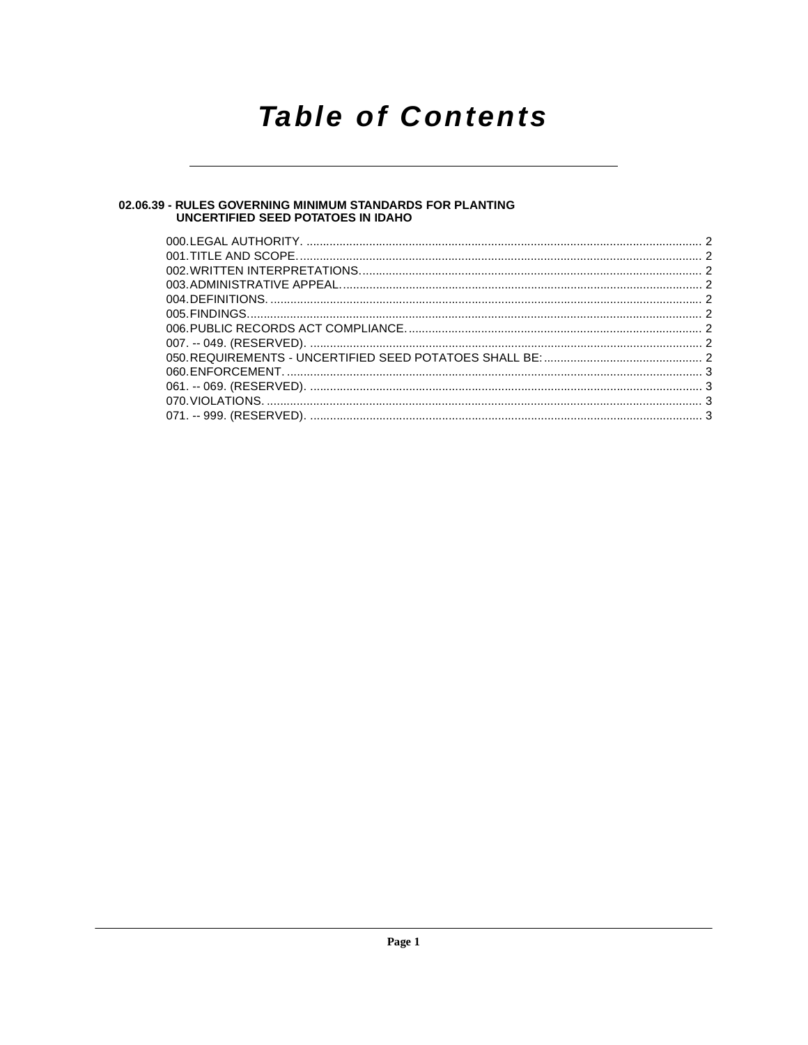## **Table of Contents**

### 02.06.39 - RULES GOVERNING MINIMUM STANDARDS FOR PLANTING<br>UNCERTIFIED SEED POTATOES IN IDAHO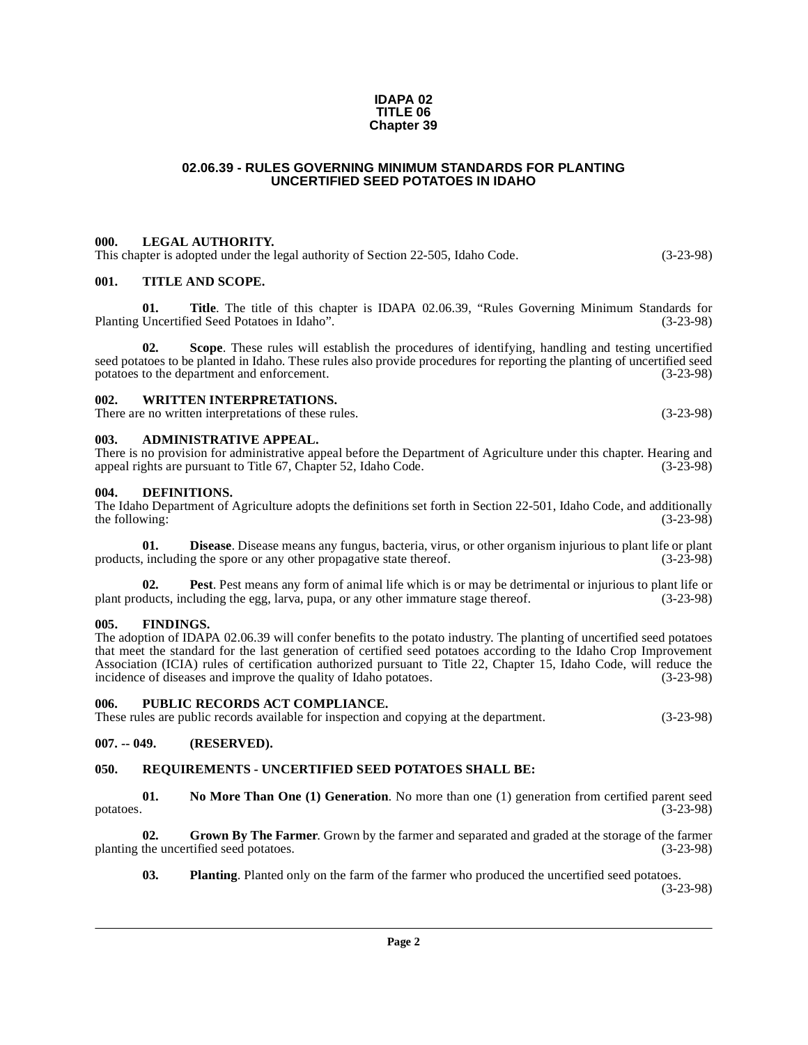#### **IDAPA 02 TITLE 06 Chapter 39**

#### **02.06.39 - RULES GOVERNING MINIMUM STANDARDS FOR PLANTING UNCERTIFIED SEED POTATOES IN IDAHO**

#### <span id="page-1-1"></span><span id="page-1-0"></span>**000. LEGAL AUTHORITY.**

This chapter is adopted under the legal authority of Section 22-505, Idaho Code. (3-23-98)

#### <span id="page-1-2"></span>**001. TITLE AND SCOPE.**

**01.** Title. The title of this chapter is IDAPA 02.06.39, "Rules Governing Minimum Standards for Uncertified Seed Potatoes in Idaho". (3-23-98) Planting Uncertified Seed Potatoes in Idaho".

**02. Scope**. These rules will establish the procedures of identifying, handling and testing uncertified seed potatoes to be planted in Idaho. These rules also provide procedures for reporting the planting of uncertified seed potatoes to the department and enforcement. (3-23-98)

#### <span id="page-1-3"></span>**002. WRITTEN INTERPRETATIONS.**

There are no written interpretations of these rules. (3-23-98)

#### <span id="page-1-4"></span>**003. ADMINISTRATIVE APPEAL.**

There is no provision for administrative appeal before the Department of Agriculture under this chapter. Hearing and appeal rights are pursuant to Title 67, Chapter 52, Idaho Code. (3-23-98)

#### <span id="page-1-10"></span><span id="page-1-5"></span>**004. DEFINITIONS.**

The Idaho Department of Agriculture adopts the definitions set forth in Section 22-501, Idaho Code, and additionally the following:  $(3-23-98)$ 

<span id="page-1-11"></span>**01. Disease**. Disease means any fungus, bacteria, virus, or other organism injurious to plant life or plant in including the spore or any other propagative state thereof. products, including the spore or any other propagative state thereof.

<span id="page-1-15"></span>**02.** Pest. Pest means any form of animal life which is or may be detrimental or injurious to plant life or plant products, including the egg, larva, pupa, or any other immature stage thereof. (3-23-98)

#### <span id="page-1-12"></span><span id="page-1-6"></span>**005. FINDINGS.**

The adoption of IDAPA 02.06.39 will confer benefits to the potato industry. The planting of uncertified seed potatoes that meet the standard for the last generation of certified seed potatoes according to the Idaho Crop Improvement Association (ICIA) rules of certification authorized pursuant to Title 22, Chapter 15, Idaho Code, will reduce the incidence of diseases and improve the quality of Idaho potatoes. (3-23-98)

#### <span id="page-1-17"></span><span id="page-1-7"></span>**006. PUBLIC RECORDS ACT COMPLIANCE.**

These rules are public records available for inspection and copying at the department. (3-23-98)

#### <span id="page-1-8"></span>**007. -- 049. (RESERVED).**

#### <span id="page-1-18"></span><span id="page-1-9"></span>**050. REQUIREMENTS - UNCERTIFIED SEED POTATOES SHALL BE:**

<span id="page-1-14"></span>**01.** No More Than One (1) Generation. No more than one (1) generation from certified parent seed (3-23-98) potatoes. (3-23-98)

**02.** Grown By The Farmer. Grown by the farmer and separated and graded at the storage of the farmer the uncertified seed potatoes. (3-23-98) planting the uncertified seed potatoes.

<span id="page-1-16"></span><span id="page-1-13"></span>**03.** Planting. Planted only on the farm of the farmer who produced the uncertified seed potatoes.

(3-23-98)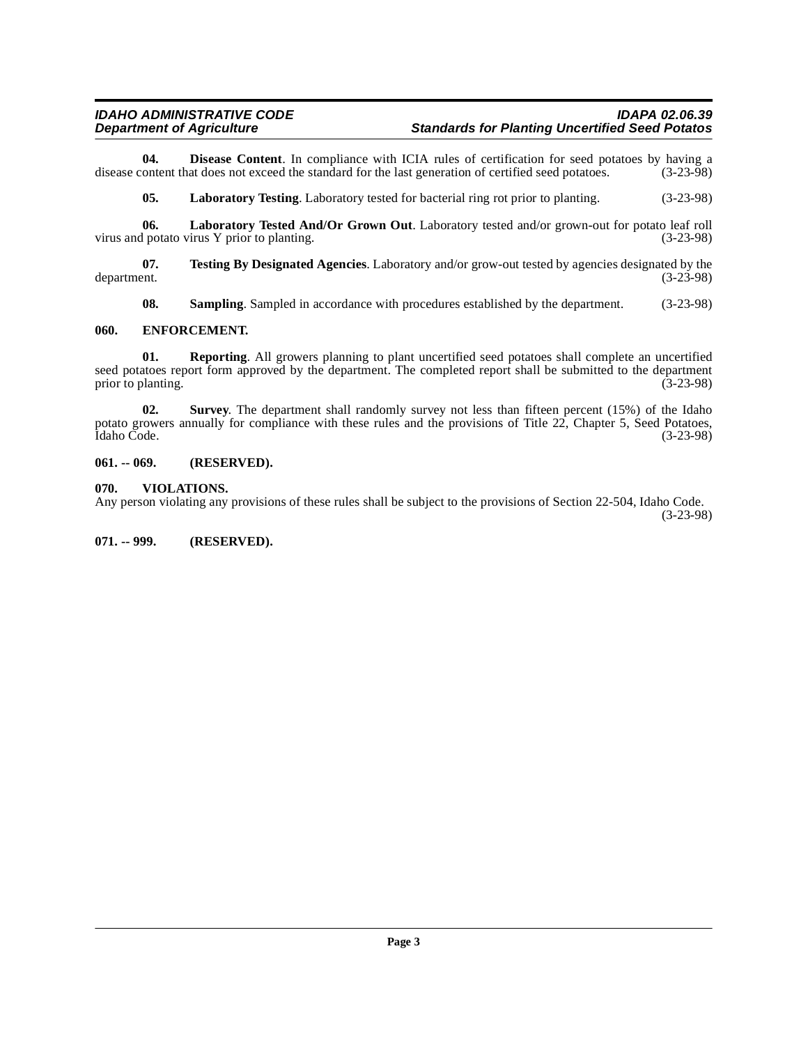#### **IDAHO ADMINISTRATIVE CODE**<br>Department of Agriculture **Integrats Standards for Planting Uncertified Seed Potatos Standards for Planting Uncertified Seed Potatos**

**04. Disease Content**. In compliance with ICIA rules of certification for seed potatoes by having a ontent that does not exceed the standard for the last generation of certified seed potatoes. (3-23-98) disease content that does not exceed the standard for the last generation of certified seed potatoes.

<span id="page-2-7"></span><span id="page-2-6"></span><span id="page-2-4"></span>**05. Laboratory Testing**. Laboratory tested for bacterial ring rot prior to planting. (3-23-98)

**06.** Laboratory Tested And/Or Grown Out. Laboratory tested and/or grown-out for potato leaf roll potato virus Y prior to planting. (3-23-98) virus and potato virus  $Y$  prior to planting.

**07.** Testing By Designated Agencies. Laboratory and/or grow-out tested by agencies designated by the department. (3-23-98) department. (3-23-98)

<span id="page-2-11"></span><span id="page-2-9"></span><span id="page-2-8"></span><span id="page-2-5"></span>**08.** Sampling. Sampled in accordance with procedures established by the department. (3-23-98)

#### <span id="page-2-0"></span>**060. ENFORCEMENT.**

**01. Reporting**. All growers planning to plant uncertified seed potatoes shall complete an uncertified seed potatoes report form approved by the department. The completed report shall be submitted to the department prior to planting. (3-23-98) prior to planting.

<span id="page-2-10"></span>**02. Survey**. The department shall randomly survey not less than fifteen percent (15%) of the Idaho potato growers annually for compliance with these rules and the provisions of Title 22, Chapter 5, Seed Potatoes,<br>(3-23-98) Idaho Code. (3-23-98)

#### <span id="page-2-1"></span>**061. -- 069. (RESERVED).**

#### <span id="page-2-12"></span><span id="page-2-2"></span>**070. VIOLATIONS.**

Any person violating any provisions of these rules shall be subject to the provisions of Section 22-504, Idaho Code. (3-23-98)

#### <span id="page-2-3"></span>**071. -- 999. (RESERVED).**